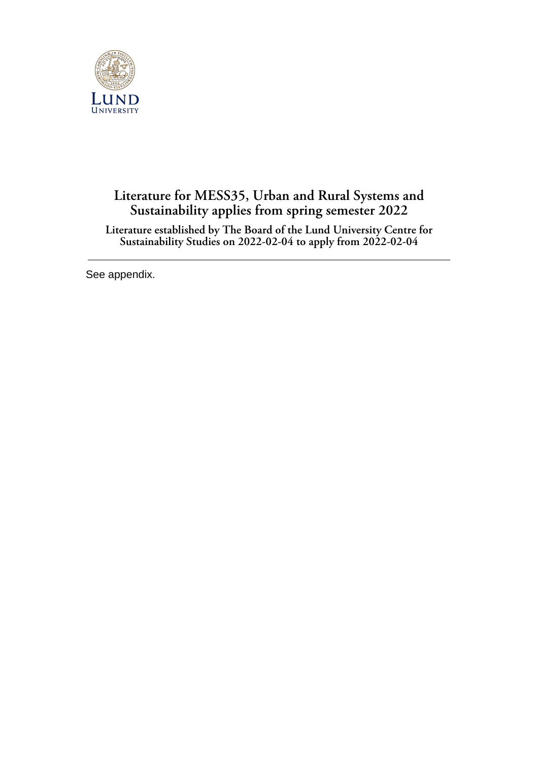

## **Literature for MESS35, Urban and Rural Systems and Sustainability applies from spring semester 2022**

**Literature established by The Board of the Lund University Centre for Sustainability Studies on 2022-02-04 to apply from 2022-02-04**

See appendix.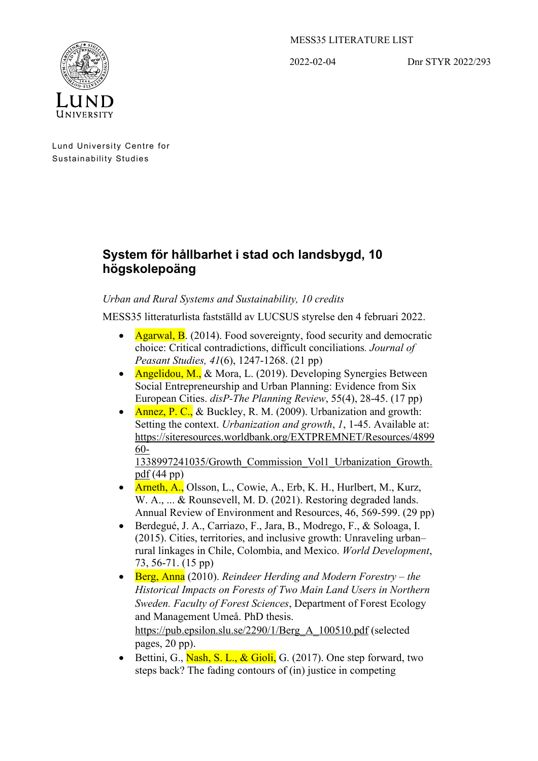## MESS35 LITERATURE LIST

2022-02-04 Dnr STYR 2022/293



Lund University Centre for Sustainability Studies

## **System för hållbarhet i stad och landsbygd, 10 högskolepoäng**

## *Urban and Rural Systems and Sustainability, 10 credits*

MESS35 litteraturlista fastställd av LUCSUS styrelse den 4 februari 2022.

- Agarwal, B. (2014). Food sovereignty, food security and democratic choice: Critical contradictions, difficult conciliations*. Journal of Peasant Studies, 41*(6), 1247-1268. (21 pp)
- Angelidou, M., & Mora, L. (2019). Developing Synergies Between Social Entrepreneurship and Urban Planning: Evidence from Six European Cities. *disP-The Planning Review*, 55(4), 28-45. (17 pp)
- Annez, P. C., & Buckley, R. M. (2009). Urbanization and growth: Setting the context. *Urbanization and growth*, *1*, 1-45. Available at: [https://siteresources.worldbank.org/EXTPREMNET/Resources/4899](https://siteresources.worldbank.org/EXTPREMNET/Resources/489960-1338997241035/Growth_Commission_Vol1_Urbanization_Growth.pdf) [60-](https://siteresources.worldbank.org/EXTPREMNET/Resources/489960-1338997241035/Growth_Commission_Vol1_Urbanization_Growth.pdf)

[1338997241035/Growth\\_Commission\\_Vol1\\_Urbanization\\_Growth.](https://siteresources.worldbank.org/EXTPREMNET/Resources/489960-1338997241035/Growth_Commission_Vol1_Urbanization_Growth.pdf) [pdf](https://siteresources.worldbank.org/EXTPREMNET/Resources/489960-1338997241035/Growth_Commission_Vol1_Urbanization_Growth.pdf) (44 pp)

- Arneth, A., Olsson, L., Cowie, A., Erb, K. H., Hurlbert, M., Kurz, W. A., ... & Rounsevell, M. D. (2021). Restoring degraded lands. Annual Review of Environment and Resources, 46, 569-599. (29 pp)
- Berdegué, J. A., Carriazo, F., Jara, B., Modrego, F., & Soloaga, I. (2015). Cities, territories, and inclusive growth: Unraveling urban– rural linkages in Chile, Colombia, and Mexico. *World Development*, 73, 56-71. (15 pp)
- Berg, Anna (2010). *Reindeer Herding and Modern Forestry – the Historical Impacts on Forests of Two Main Land Users in Northern Sweden. Faculty of Forest Sciences*, Department of Forest Ecology and Management Umeå. PhD thesis. [https://pub.epsilon.slu.se/2290/1/Berg\\_A\\_100510.pdf](https://pub.epsilon.slu.se/2290/1/Berg_A_100510.pdf) (selected pages, 20 pp).
- Bettini, G., Nash, S. L., & Gioli, G.  $(2017)$ . One step forward, two steps back? The fading contours of (in) justice in competing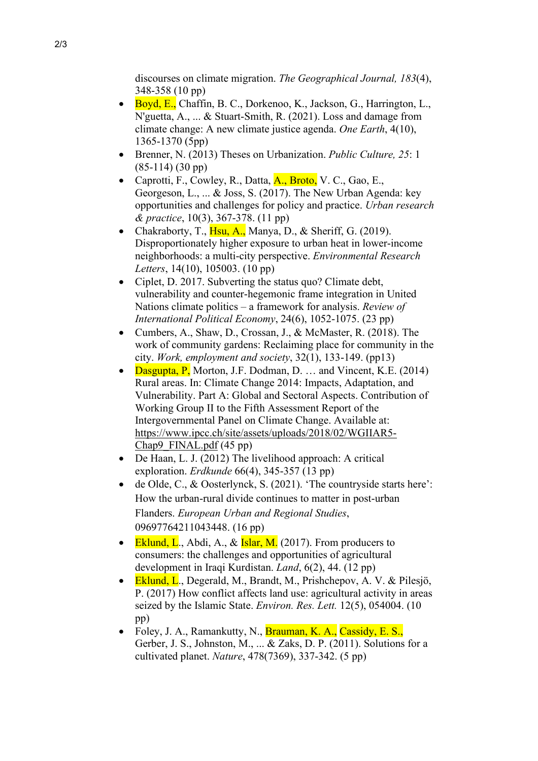discourses on climate migration. *The Geographical Journal, 183*(4), 348-358 (10 pp)

- Boyd, E., Chaffin, B. C., Dorkenoo, K., Jackson, G., Harrington, L., N'guetta, A., ... & Stuart-Smith, R. (2021). Loss and damage from climate change: A new climate justice agenda. *One Earth*, 4(10), 1365-1370 (5pp)
- Brenner, N. (2013) Theses on Urbanization. *Public Culture, 25*: 1 (85-114) (30 pp)
- Caprotti, F., Cowley, R., Datta,  $A_{.}, B_{.}$  N.C., Gao, E., Georgeson, L., ... & Joss, S. (2017). The New Urban Agenda: key opportunities and challenges for policy and practice. *Urban research & practice*, 10(3), 367-378. (11 pp)
- Chakraborty, T., Hsu, A., Manya, D., & Sheriff, G. (2019). Disproportionately higher exposure to urban heat in lower-income neighborhoods: a multi-city perspective. *Environmental Research Letters*, 14(10), 105003. (10 pp)
- Ciplet, D. 2017. Subverting the status quo? Climate debt, vulnerability and counter-hegemonic frame integration in United Nations climate politics – a framework for analysis. *Review of International Political Economy*, 24(6), 1052-1075. (23 pp)
- Cumbers, A., Shaw, D., Crossan, J., & McMaster, R. (2018). The work of community gardens: Reclaiming place for community in the city. *Work, employment and society*, 32(1), 133-149. (pp13)
- Dasgupta, P, Morton, J.F. Dodman, D. ... and Vincent, K.E.  $(2014)$ Rural areas. In: Climate Change 2014: Impacts, Adaptation, and Vulnerability. Part A: Global and Sectoral Aspects. Contribution of Working Group II to the Fifth Assessment Report of the Intergovernmental Panel on Climate Change. Available at: [https://www.ipcc.ch/site/assets/uploads/2018/02/WGIIAR5-](https://www.ipcc.ch/site/assets/uploads/2018/02/WGIIAR5-Chap9_FINAL.pdf) Chap9 FINAL.pdf (45 pp)
- De Haan, L. J. (2012) The livelihood approach: A critical exploration. *Erdkunde* 66(4), 345-357 (13 pp)
- de Olde, C., & Oosterlynck, S. (2021). 'The countryside starts here': How the urban-rural divide continues to matter in post-urban Flanders. *European Urban and Regional Studies*, 09697764211043448. (16 pp)
- Eklund, L., Abdi, A., & Islar, M. (2017). From producers to consumers: the challenges and opportunities of agricultural development in Iraqi Kurdistan. *Land*, 6(2), 44. (12 pp)
- Eklund, L., Degerald, M., Brandt, M., Prishchepov, A. V. & Pilesjö, P. (2017) How conflict affects land use: agricultural activity in areas seized by the Islamic State. *Environ. Res. Lett.* 12(5), 054004. (10 pp)
- Foley, J. A., Ramankutty, N., Brauman, K. A., Cassidy, E. S., Gerber, J. S., Johnston, M., ... & Zaks, D. P. (2011). Solutions for a cultivated planet. *Nature*, 478(7369), 337-342. (5 pp)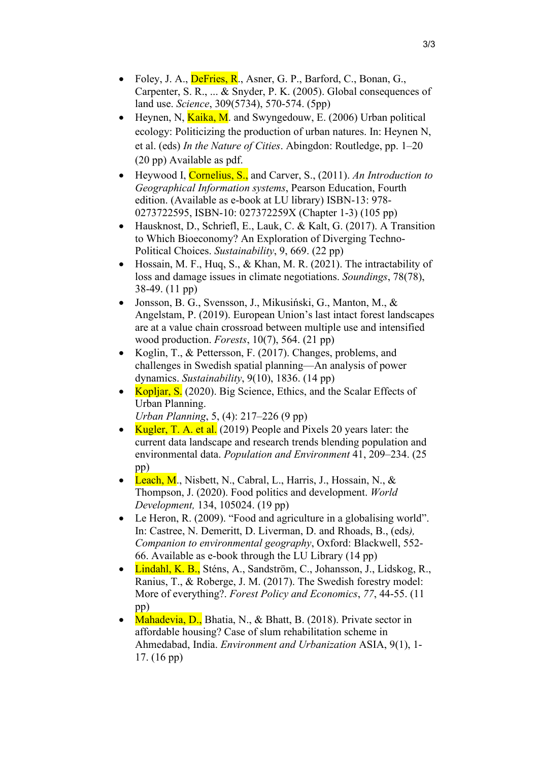- Foley, J. A.,  $\overline{\text{Defries}}, \overline{\text{R}}$ ., Asner, G. P., Barford, C., Bonan, G., Carpenter, S. R., ... & Snyder, P. K. (2005). Global consequences of land use. *Science*, 309(5734), 570-574. (5pp)
- Heynen, N,  $Kaika$ , M. and Swyngedouw, E. (2006) Urban political ecology: Politicizing the production of urban natures. In: Heynen N, et al. (eds) *In the Nature of Cities*. Abingdon: Routledge, pp. 1–20 (20 pp) Available as pdf.
- Heywood I, Cornelius, S., and Carver, S., (2011). *An Introduction to Geographical Information systems*, Pearson Education, Fourth edition. (Available as e-book at LU library) ISBN-13: 978- 0273722595, ISBN-10: 027372259X (Chapter 1-3) (105 pp)
- Hausknost, D., Schriefl, E., Lauk, C. & Kalt, G. (2017). A Transition to Which Bioeconomy? An Exploration of Diverging Techno-Political Choices. *Sustainability*, 9, 669. (22 pp)
- Hossain, M. F., Huq, S., & Khan, M. R. (2021). The intractability of loss and damage issues in climate negotiations. *Soundings*, 78(78), 38-49. (11 pp)
- Jonsson, B. G., Svensson, J., Mikusiński, G., Manton, M., & Angelstam, P. (2019). European Union's last intact forest landscapes are at a value chain crossroad between multiple use and intensified wood production. *Forests*, 10(7), 564. (21 pp)
- Koglin, T., & Pettersson, F. (2017). Changes, problems, and challenges in Swedish spatial planning—An analysis of power dynamics. *Sustainability*, 9(10), 1836. (14 pp)
- Kopljar, S. (2020). Big Science, Ethics, and the Scalar Effects of Urban Planning. *Urban Planning*, 5, (4): 217–226 (9 pp)
- Kugler, T. A. et al.  $(2019)$  People and Pixels 20 years later: the current data landscape and research trends blending population and environmental data. *Population and Environment* 41, 209–234. (25 pp)
- Leach, M., Nisbett, N., Cabral, L., Harris, J., Hossain, N., & Thompson, J. (2020). Food politics and development. *World Development,* 134, 105024. (19 pp)
- Le Heron, R. (2009). "Food and agriculture in a globalising world". In: Castree, N. Demeritt, D. Liverman, D. and Rhoads, B., (eds*), Companion to environmental geography*, Oxford: Blackwell, 552- 66. Available as e-book through the LU Library (14 pp)
- Lindahl, K. B., Sténs, A., Sandström, C., Johansson, J., Lidskog, R., Ranius, T., & Roberge, J. M. (2017). The Swedish forestry model: More of everything?. *Forest Policy and Economics*, *77*, 44-55. (11 pp)
- Mahadevia, D., Bhatia, N., & Bhatt, B. (2018). Private sector in affordable housing? Case of slum rehabilitation scheme in Ahmedabad, India. *Environment and Urbanization* ASIA, 9(1), 1- 17. (16 pp)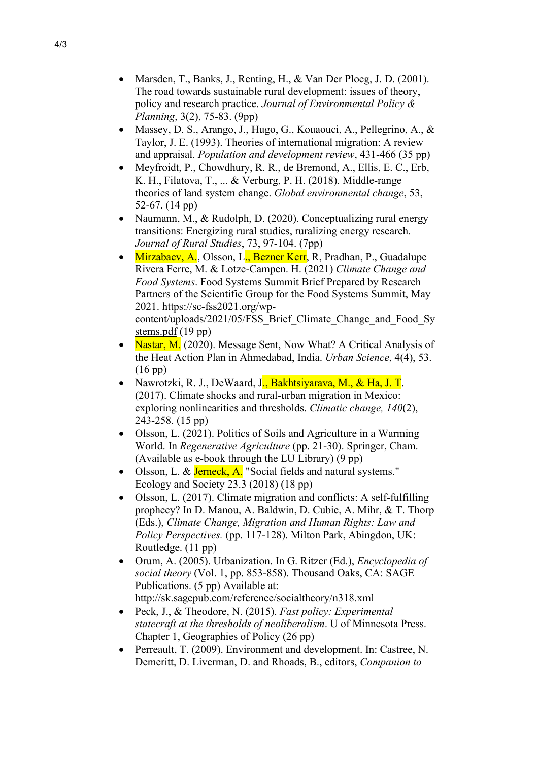- Marsden, T., Banks, J., Renting, H., & Van Der Ploeg, J. D. (2001). The road towards sustainable rural development: issues of theory, policy and research practice. *Journal of Environmental Policy & Planning*, 3(2), 75-83. (9pp)
- Massey, D. S., Arango, J., Hugo, G., Kouaouci, A., Pellegrino, A., & Taylor, J. E. (1993). Theories of international migration: A review and appraisal. *Population and development review*, 431-466 (35 pp)
- Meyfroidt, P., Chowdhury, R. R., de Bremond, A., Ellis, E. C., Erb, K. H., Filatova, T., ... & Verburg, P. H. (2018). Middle-range theories of land system change. *Global environmental change*, 53, 52-67. (14 pp)
- Naumann, M., & Rudolph, D. (2020). Conceptualizing rural energy transitions: Energizing rural studies, ruralizing energy research. *Journal of Rural Studies*, 73, 97-104. (7pp)
- Mirzabaev, A., Olsson, L., Bezner Kerr, R., Pradhan, P., Guadalupe Rivera Ferre, M. & Lotze-Campen. H. (2021) *Climate Change and Food Systems*. Food Systems Summit Brief Prepared by Research Partners of the Scientific Group for the Food Systems Summit, May 2021. [https://sc-fss2021.org/wp](https://sc-fss2021.org/wp-content/uploads/2021/05/FSS_Brief_Climate_Change_and_Food_Systems.pdf)[content/uploads/2021/05/FSS\\_Brief\\_Climate\\_Change\\_and\\_Food\\_Sy](https://sc-fss2021.org/wp-content/uploads/2021/05/FSS_Brief_Climate_Change_and_Food_Systems.pdf) [stems.pdf](https://sc-fss2021.org/wp-content/uploads/2021/05/FSS_Brief_Climate_Change_and_Food_Systems.pdf) (19 pp)
- Nastar, M. (2020). Message Sent, Now What? A Critical Analysis of the Heat Action Plan in Ahmedabad, India. *Urban Science*, 4(4), 53. (16 pp)
- Nawrotzki, R. J., DeWaard, J., Bakhtsiyarava, M., & Ha, J. T. (2017). Climate shocks and rural-urban migration in Mexico: exploring nonlinearities and thresholds. *Climatic change, 140*(2), 243-258. (15 pp)
- Olsson, L. (2021). Politics of Soils and Agriculture in a Warming World. In *Regenerative Agriculture* (pp. 21-30). Springer, Cham. (Available as e-book through the LU Library) (9 pp)
- Olsson, L. & Jerneck, A. "Social fields and natural systems." Ecology and Society 23.3 (2018) (18 pp)
- Olsson, L. (2017). Climate migration and conflicts: A self-fulfilling prophecy? In D. Manou, A. Baldwin, D. Cubie, A. Mihr, & T. Thorp (Eds.), *Climate Change, Migration and Human Rights: Law and Policy Perspectives.* (pp. 117-128). Milton Park, Abingdon, UK: Routledge. (11 pp)
- Orum, A. (2005). Urbanization. In G. Ritzer (Ed.), *Encyclopedia of social theory* (Vol. 1, pp. 853-858). Thousand Oaks, CA: SAGE Publications. (5 pp) Available at: <http://sk.sagepub.com/reference/socialtheory/n318.xml>
- Peck, J., & Theodore, N. (2015). *Fast policy: Experimental statecraft at the thresholds of neoliberalism*. U of Minnesota Press. Chapter 1, Geographies of Policy (26 pp)
- Perreault, T. (2009). Environment and development. In: Castree, N. Demeritt, D. Liverman, D. and Rhoads, B., editors, *Companion to*